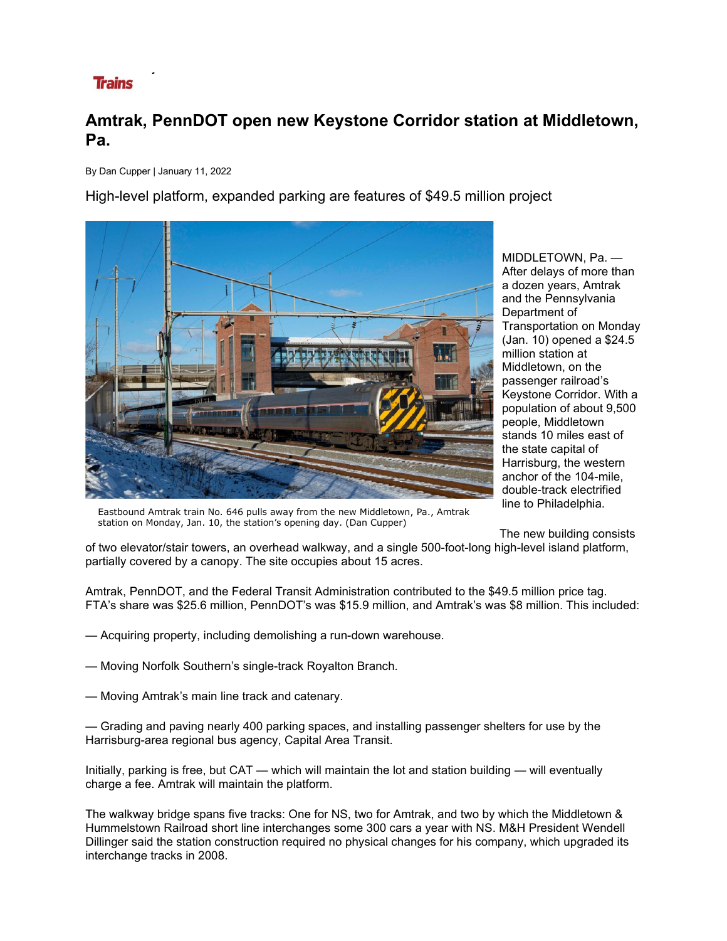## **Trains**

## **Amtrak, PennDOT open new Keystone Corridor station at Middletown, Pa.**

By Dan Cupper | January 11, 2022

High-level platform, expanded parking are features of \$49.5 million project



MIDDLETOWN, Pa. — After delays of more than a dozen years, Amtrak and the Pennsylvania Department of Transportation on Monday (Jan. 10) opened a \$24.5 million station at Middletown, on the passenger railroad's Keystone Corridor. With a population of about 9,500 people, Middletown stands 10 miles east of the state capital of Harrisburg, the western anchor of the 104-mile, double-track electrified line to Philadelphia.

Eastbound Amtrak train No. 646 pulls away from the new Middletown, Pa., Amtrak station on Monday, Jan. 10, the station's opening day. (Dan Cupper)

The new building consists

of two elevator/stair towers, an overhead walkway, and a single 500-foot-long high-level island platform, partially covered by a canopy. The site occupies about 15 acres.

Amtrak, PennDOT, and the Federal Transit Administration contributed to the \$49.5 million price tag. FTA's share was \$25.6 million, PennDOT's was \$15.9 million, and Amtrak's was \$8 million. This included:

- Acquiring property, including demolishing a run-down warehouse.
- Moving Norfolk Southern's single-track Royalton Branch.
- Moving Amtrak's main line track and catenary.

— Grading and paving nearly 400 parking spaces, and installing passenger shelters for use by the Harrisburg-area regional bus agency, Capital Area Transit.

Initially, parking is free, but CAT — which will maintain the lot and station building — will eventually charge a fee. Amtrak will maintain the platform.

The walkway bridge spans five tracks: One for NS, two for Amtrak, and two by which the Middletown & Hummelstown Railroad short line interchanges some 300 cars a year with NS. M&H President Wendell Dillinger said the station construction required no physical changes for his company, which upgraded its interchange tracks in 2008.